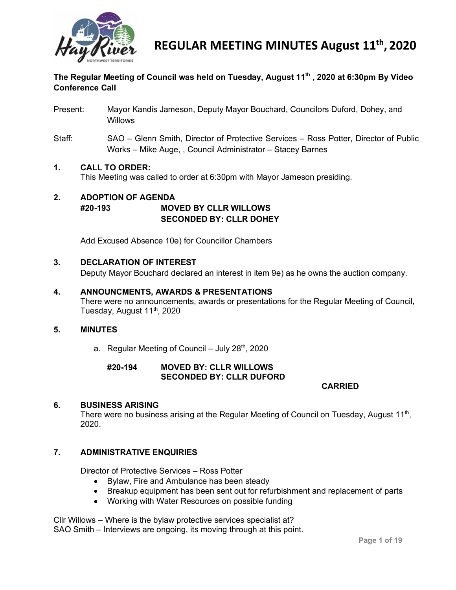

# **The Regular Meeting of Council was held on Tuesday, August 11th , 2020 at 6:30pm By Video Conference Call**

- Present: Mayor Kandis Jameson, Deputy Mayor Bouchard, Councilors Duford, Dohey, and **Willows**
- Staff: SAO Glenn Smith, Director of Protective Services Ross Potter, Director of Public Works – Mike Auge, , Council Administrator – Stacey Barnes

# **1. CALL TO ORDER:**

This Meeting was called to order at 6:30pm with Mayor Jameson presiding.

# **2. ADOPTION OF AGENDA #20-193 MOVED BY CLLR WILLOWS SECONDED BY: CLLR DOHEY**

Add Excused Absence 10e) for Councillor Chambers

# **3. DECLARATION OF INTEREST**

Deputy Mayor Bouchard declared an interest in item 9e) as he owns the auction company.

# **4. ANNOUNCMENTS, AWARDS & PRESENTATIONS**

There were no announcements, awards or presentations for the Regular Meeting of Council, Tuesday, August 11<sup>th</sup>, 2020

#### **5. MINUTES**

a. Regular Meeting of Council – July  $28<sup>th</sup>$ , 2020

#### **#20-194 MOVED BY: CLLR WILLOWS SECONDED BY: CLLR DUFORD**

**CARRIED**

#### **6. BUSINESS ARISING**

There were no business arising at the Regular Meeting of Council on Tuesday, August 11<sup>th</sup>, 2020.

# **7. ADMINISTRATIVE ENQUIRIES**

Director of Protective Services – Ross Potter

- Bylaw, Fire and Ambulance has been steady
- Breakup equipment has been sent out for refurbishment and replacement of parts
- Working with Water Resources on possible funding

Cllr Willows – Where is the bylaw protective services specialist at? SAO Smith – Interviews are ongoing, its moving through at this point.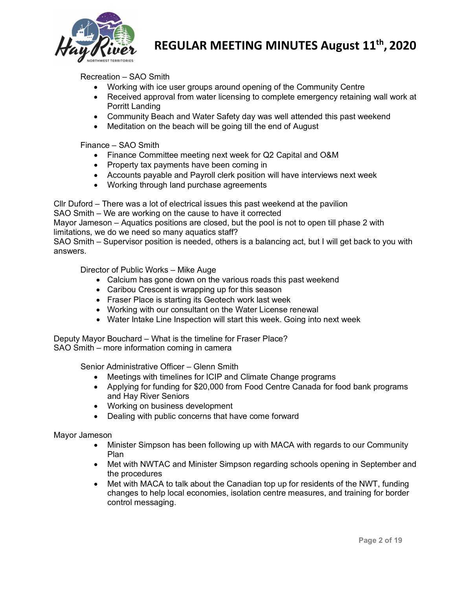

Recreation – SAO Smith

- Working with ice user groups around opening of the Community Centre
- Received approval from water licensing to complete emergency retaining wall work at Porritt Landing
- Community Beach and Water Safety day was well attended this past weekend
- Meditation on the beach will be going till the end of August

Finance – SAO Smith

- Finance Committee meeting next week for Q2 Capital and O&M
- Property tax payments have been coming in
- Accounts payable and Payroll clerk position will have interviews next week
- Working through land purchase agreements

Cllr Duford – There was a lot of electrical issues this past weekend at the pavilion

SAO Smith – We are working on the cause to have it corrected

Mayor Jameson – Aquatics positions are closed, but the pool is not to open till phase 2 with limitations, we do we need so many aquatics staff?

SAO Smith – Supervisor position is needed, others is a balancing act, but I will get back to you with answers.

Director of Public Works – Mike Auge

- Calcium has gone down on the various roads this past weekend
- Caribou Crescent is wrapping up for this season
- Fraser Place is starting its Geotech work last week
- Working with our consultant on the Water License renewal
- Water Intake Line Inspection will start this week. Going into next week

Deputy Mayor Bouchard – What is the timeline for Fraser Place? SAO Smith – more information coming in camera

Senior Administrative Officer – Glenn Smith

- Meetings with timelines for ICIP and Climate Change programs
- Applying for funding for \$20,000 from Food Centre Canada for food bank programs and Hay River Seniors
- Working on business development
- Dealing with public concerns that have come forward

Mayor Jameson

- Minister Simpson has been following up with MACA with regards to our Community Plan
- Met with NWTAC and Minister Simpson regarding schools opening in September and the procedures
- Met with MACA to talk about the Canadian top up for residents of the NWT, funding changes to help local economies, isolation centre measures, and training for border control messaging.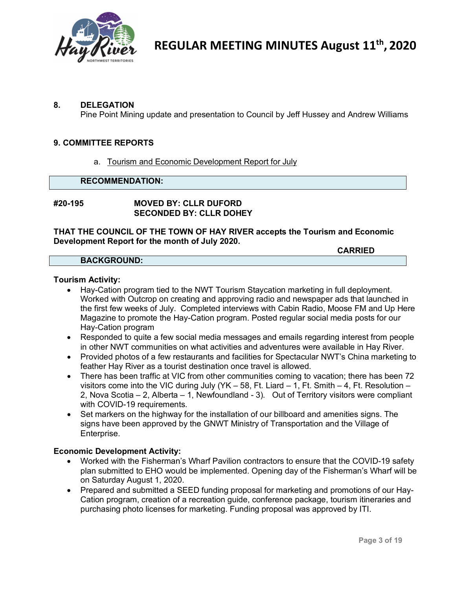

#### **8. DELEGATION**

Pine Point Mining update and presentation to Council by Jeff Hussey and Andrew Williams

#### **9. COMMITTEE REPORTS**

a. Tourism and Economic Development Report for July

# **RECOMMENDATION:**

### **#20-195 MOVED BY: CLLR DUFORD SECONDED BY: CLLR DOHEY**

**THAT THE COUNCIL OF THE TOWN OF HAY RIVER accepts the Tourism and Economic Development Report for the month of July 2020.**

#### **BACKGROUND:**

#### **Tourism Activity:**

- Hay-Cation program tied to the NWT Tourism Staycation marketing in full deployment. Worked with Outcrop on creating and approving radio and newspaper ads that launched in the first few weeks of July. Completed interviews with Cabin Radio, Moose FM and Up Here Magazine to promote the Hay-Cation program. Posted regular social media posts for our Hay-Cation program
- Responded to quite a few social media messages and emails regarding interest from people in other NWT communities on what activities and adventures were available in Hay River.
- Provided photos of a few restaurants and facilities for Spectacular NWT's China marketing to feather Hay River as a tourist destination once travel is allowed.
- There has been traffic at VIC from other communities coming to vacation; there has been 72 visitors come into the VIC during July (YK – 58, Ft. Liard – 1, Ft. Smith – 4, Ft. Resolution – 2, Nova Scotia – 2, Alberta – 1, Newfoundland - 3). Out of Territory visitors were compliant with COVID-19 requirements.
- Set markers on the highway for the installation of our billboard and amenities signs. The signs have been approved by the GNWT Ministry of Transportation and the Village of Enterprise.

#### **Economic Development Activity:**

- Worked with the Fisherman's Wharf Pavilion contractors to ensure that the COVID-19 safety plan submitted to EHO would be implemented. Opening day of the Fisherman's Wharf will be on Saturday August 1, 2020.
- Prepared and submitted a SEED funding proposal for marketing and promotions of our Hay-Cation program, creation of a recreation guide, conference package, tourism itineraries and purchasing photo licenses for marketing. Funding proposal was approved by ITI.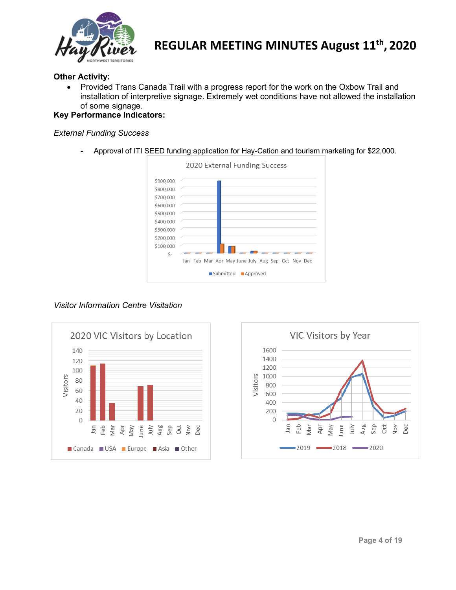

### **Other Activity:**

• Provided Trans Canada Trail with a progress report for the work on the Oxbow Trail and installation of interpretive signage. Extremely wet conditions have not allowed the installation of some signage.

# **Key Performance Indicators:**

### *External Funding Success*

*-* Approval of ITI SEED funding application for Hay-Cation and tourism marketing for \$22,000.



#### *Visitor Information Centre Visitation*



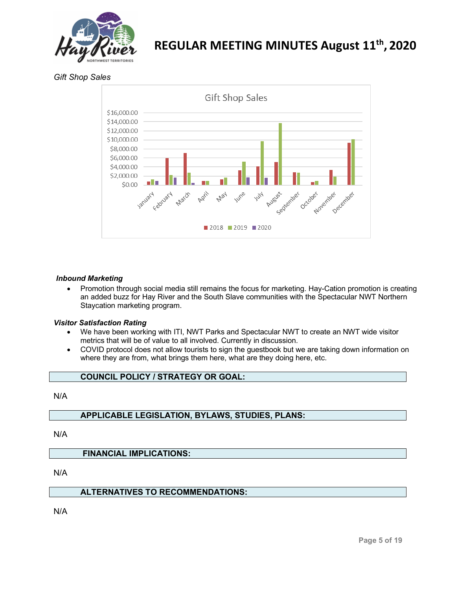

*Gift Shop Sales*



#### *Inbound Marketing*

• Promotion through social media still remains the focus for marketing. Hay-Cation promotion is creating an added buzz for Hay River and the South Slave communities with the Spectacular NWT Northern Staycation marketing program.

#### *Visitor Satisfaction Rating*

- We have been working with ITI, NWT Parks and Spectacular NWT to create an NWT wide visitor metrics that will be of value to all involved. Currently in discussion.
- COVID protocol does not allow tourists to sign the guestbook but we are taking down information on where they are from, what brings them here, what are they doing here, etc.

### **COUNCIL POLICY / STRATEGY OR GOAL:**

#### N/A

#### **APPLICABLE LEGISLATION, BYLAWS, STUDIES, PLANS:**

N/A

#### **FINANCIAL IMPLICATIONS:**

N/A

#### **ALTERNATIVES TO RECOMMENDATIONS:**

N/A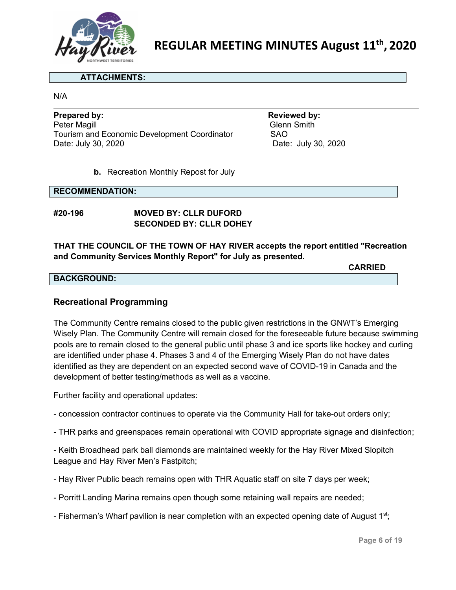

#### **ATTACHMENTS:**

N/A

**Prepared by: Reviewed by:** Peter Magill Tourism and Economic Development Coordinator SAO Date: July 30, 2020 Date: July 30, 2020

# **b.** Recreation Monthly Repost for July

#### **RECOMMENDATION:**

# **#20-196 MOVED BY: CLLR DUFORD SECONDED BY: CLLR DOHEY**

# **THAT THE COUNCIL OF THE TOWN OF HAY RIVER accepts the report entitled "Recreation and Community Services Monthly Report" for July as presented.**

#### **BACKGROUND:**

# **Recreational Programming**

The Community Centre remains closed to the public given restrictions in the GNWT's Emerging Wisely Plan. The Community Centre will remain closed for the foreseeable future because swimming pools are to remain closed to the general public until phase 3 and ice sports like hockey and curling are identified under phase 4. Phases 3 and 4 of the Emerging Wisely Plan do not have dates identified as they are dependent on an expected second wave of COVID-19 in Canada and the development of better testing/methods as well as a vaccine.

Further facility and operational updates:

- concession contractor continues to operate via the Community Hall for take-out orders only;
- THR parks and greenspaces remain operational with COVID appropriate signage and disinfection;

- Keith Broadhead park ball diamonds are maintained weekly for the Hay River Mixed Slopitch League and Hay River Men's Fastpitch;

- Hay River Public beach remains open with THR Aquatic staff on site 7 days per week;
- Porritt Landing Marina remains open though some retaining wall repairs are needed;
- Fisherman's Wharf pavilion is near completion with an expected opening date of August 1<sup>st</sup>;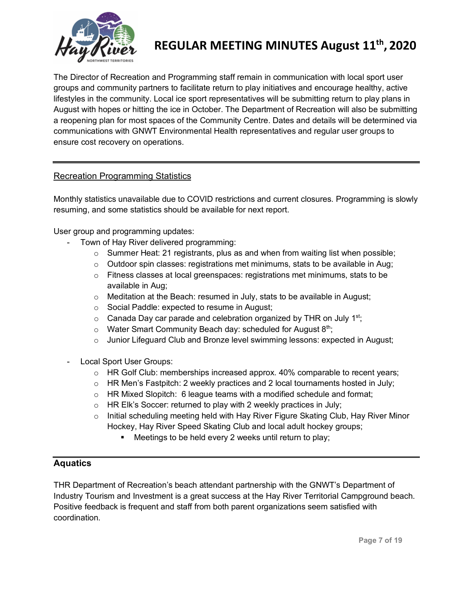

The Director of Recreation and Programming staff remain in communication with local sport user groups and community partners to facilitate return to play initiatives and encourage healthy, active lifestyles in the community. Local ice sport representatives will be submitting return to play plans in August with hopes or hitting the ice in October. The Department of Recreation will also be submitting a reopening plan for most spaces of the Community Centre. Dates and details will be determined via communications with GNWT Environmental Health representatives and regular user groups to ensure cost recovery on operations.

# Recreation Programming Statistics

Monthly statistics unavailable due to COVID restrictions and current closures. Programming is slowly resuming, and some statistics should be available for next report.

User group and programming updates:

- Town of Hay River delivered programming:
	- $\circ$  Summer Heat: 21 registrants, plus as and when from waiting list when possible;
	- $\circ$  Outdoor spin classes: registrations met minimums, stats to be available in Aug;
	- o Fitness classes at local greenspaces: registrations met minimums, stats to be available in Aug;
	- o Meditation at the Beach: resumed in July, stats to be available in August;
	- o Social Paddle: expected to resume in August;
	- $\circ$  Canada Day car parade and celebration organized by THR on July 1<sup>st</sup>;
	- $\circ$  Water Smart Community Beach day: scheduled for August 8<sup>th</sup>;
	- o Junior Lifeguard Club and Bronze level swimming lessons: expected in August;
- Local Sport User Groups:
	- o HR Golf Club: memberships increased approx. 40% comparable to recent years;
	- $\circ$  HR Men's Fastpitch: 2 weekly practices and 2 local tournaments hosted in July;
	- $\circ$  HR Mixed Slopitch: 6 league teams with a modified schedule and format;
	- $\circ$  HR Elk's Soccer: returned to play with 2 weekly practices in July;
	- o Initial scheduling meeting held with Hay River Figure Skating Club, Hay River Minor Hockey, Hay River Speed Skating Club and local adult hockey groups;
		- **Meetings to be held every 2 weeks until return to play;**

# **Aquatics**

THR Department of Recreation's beach attendant partnership with the GNWT's Department of Industry Tourism and Investment is a great success at the Hay River Territorial Campground beach. Positive feedback is frequent and staff from both parent organizations seem satisfied with coordination.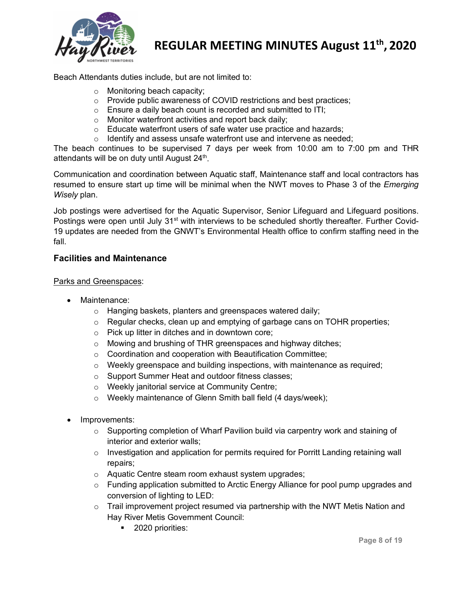

Beach Attendants duties include, but are not limited to:

- o Monitoring beach capacity;
- o Provide public awareness of COVID restrictions and best practices;
- $\circ$  Ensure a daily beach count is recorded and submitted to ITI;
- o Monitor waterfront activities and report back daily;
- o Educate waterfront users of safe water use practice and hazards;
- o Identify and assess unsafe waterfront use and intervene as needed;

The beach continues to be supervised 7 days per week from 10:00 am to 7:00 pm and THR attendants will be on duty until August  $24<sup>th</sup>$ .

Communication and coordination between Aquatic staff, Maintenance staff and local contractors has resumed to ensure start up time will be minimal when the NWT moves to Phase 3 of the *Emerging Wisely* plan.

Job postings were advertised for the Aquatic Supervisor, Senior Lifeguard and Lifeguard positions. Postings were open until July 31<sup>st</sup> with interviews to be scheduled shortly thereafter. Further Covid-19 updates are needed from the GNWT's Environmental Health office to confirm staffing need in the fall.

# **Facilities and Maintenance**

#### Parks and Greenspaces:

- Maintenance:
	- o Hanging baskets, planters and greenspaces watered daily;
	- $\circ$  Regular checks, clean up and emptying of garbage cans on TOHR properties;
	- o Pick up litter in ditches and in downtown core;
	- o Mowing and brushing of THR greenspaces and highway ditches;
	- o Coordination and cooperation with Beautification Committee;
	- o Weekly greenspace and building inspections, with maintenance as required;
	- o Support Summer Heat and outdoor fitness classes;
	- o Weekly janitorial service at Community Centre;
	- o Weekly maintenance of Glenn Smith ball field (4 days/week);
- Improvements:
	- $\circ$  Supporting completion of Wharf Pavilion build via carpentry work and staining of interior and exterior walls;
	- $\circ$  Investigation and application for permits required for Porritt Landing retaining wall repairs;
	- o Aquatic Centre steam room exhaust system upgrades;
	- $\circ$  Funding application submitted to Arctic Energy Alliance for pool pump upgrades and conversion of lighting to LED:
	- $\circ$  Trail improvement project resumed via partnership with the NWT Metis Nation and Hay River Metis Government Council:
		- **2020** priorities: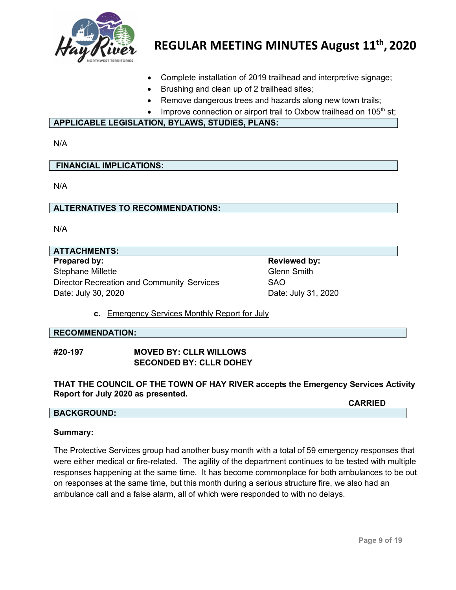

- Complete installation of 2019 trailhead and interpretive signage;
- Brushing and clean up of 2 trailhead sites;
- Remove dangerous trees and hazards along new town trails;
- Improve connection or airport trail to Oxbow trailhead on 105<sup>th</sup> st;

#### **APPLICABLE LEGISLATION, BYLAWS, STUDIES, PLANS:**

N/A

**FINANCIAL IMPLICATIONS:**

N/A

#### **ALTERNATIVES TO RECOMMENDATIONS:**

N/A

# **ATTACHMENTS: Prepared by: Reviewed by: Reviewed by: Reviewed by: Reviewed by:** Stephane Millette Glenn Smith Director Recreation and Community Services SAO Date: July 30, 2020 Date: July 31, 2020

**c.** Emergency Services Monthly Report for July

#### **RECOMMENDATION:**

#### **#20-197 MOVED BY: CLLR WILLOWS SECONDED BY: CLLR DOHEY**

**THAT THE COUNCIL OF THE TOWN OF HAY RIVER accepts the Emergency Services Activity Report for July 2020 as presented.**

# **BACKGROUND:**

#### **Summary:**

The Protective Services group had another busy month with a total of 59 emergency responses that were either medical or fire-related. The agility of the department continues to be tested with multiple responses happening at the same time. It has become commonplace for both ambulances to be out on responses at the same time, but this month during a serious structure fire, we also had an ambulance call and a false alarm, all of which were responded to with no delays.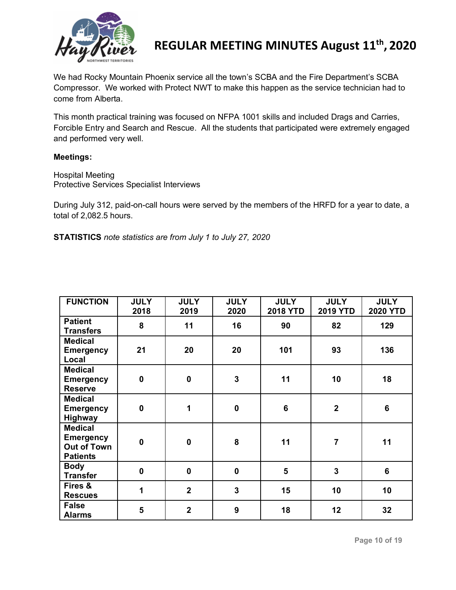

We had Rocky Mountain Phoenix service all the town's SCBA and the Fire Department's SCBA Compressor. We worked with Protect NWT to make this happen as the service technician had to come from Alberta.

This month practical training was focused on NFPA 1001 skills and included Drags and Carries, Forcible Entry and Search and Rescue. All the students that participated were extremely engaged and performed very well.

#### **Meetings:**

Hospital Meeting Protective Services Specialist Interviews

During July 312, paid-on-call hours were served by the members of the HRFD for a year to date, a total of 2,082.5 hours.

**STATISTICS** *note statistics are from July 1 to July 27, 2020*

| <b>FUNCTION</b>                                                             | <b>JULY</b><br>2018 | <b>JULY</b><br>2019 | <b>JULY</b><br>2020     | <b>JULY</b><br><b>2018 YTD</b> | <b>JULY</b><br><b>2019 YTD</b> | <b>JULY</b><br><b>2020 YTD</b> |
|-----------------------------------------------------------------------------|---------------------|---------------------|-------------------------|--------------------------------|--------------------------------|--------------------------------|
| <b>Patient</b><br><b>Transfers</b>                                          | 8                   | 11                  | 16                      | 90                             | 82                             | 129                            |
| <b>Medical</b><br><b>Emergency</b><br>Local                                 | 21                  | 20                  | 20                      | 101                            | 93                             | 136                            |
| <b>Medical</b><br><b>Emergency</b><br><b>Reserve</b>                        | $\mathbf 0$         | $\mathbf 0$         | $\overline{\mathbf{3}}$ | 11                             | 10                             | 18                             |
| <b>Medical</b><br><b>Emergency</b><br>Highway                               | $\mathbf 0$         | 1                   | $\mathbf 0$             | 6                              | $\overline{2}$                 | $6\phantom{1}$                 |
| <b>Medical</b><br><b>Emergency</b><br><b>Out of Town</b><br><b>Patients</b> | $\mathbf 0$         | $\mathbf 0$         | 8                       | 11                             | $\overline{7}$                 | 11                             |
| <b>Body</b><br><b>Transfer</b>                                              | $\mathbf 0$         | $\mathbf 0$         | $\mathbf 0$             | 5                              | $\overline{\mathbf{3}}$        | $6\phantom{1}$                 |
| Fires &<br><b>Rescues</b>                                                   | 1                   | $\overline{2}$      | $\overline{\mathbf{3}}$ | 15                             | 10                             | 10                             |
| <b>False</b><br><b>Alarms</b>                                               | 5                   | $\overline{2}$      | $\boldsymbol{9}$        | 18                             | 12                             | 32                             |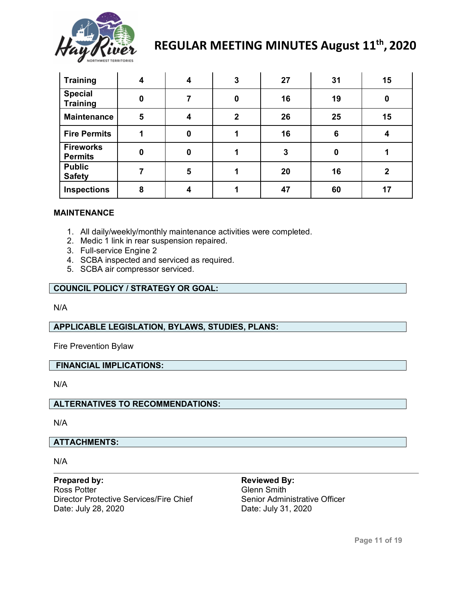

| <b>Training</b>                    | 4 | 4 | 3              | 27 | 31       | 15          |
|------------------------------------|---|---|----------------|----|----------|-------------|
| <b>Special</b><br><b>Training</b>  | 0 |   | $\mathbf{0}$   | 16 | 19       | $\bf{0}$    |
| <b>Maintenance</b>                 | 5 | 4 | $\overline{2}$ | 26 | 25       | 15          |
| <b>Fire Permits</b>                |   | 0 |                | 16 | 6        |             |
| <b>Fireworks</b><br><b>Permits</b> | 0 | 0 |                | 3  | $\bf{0}$ |             |
| <b>Public</b><br><b>Safety</b>     |   | 5 |                | 20 | 16       | $\mathbf 2$ |
| <b>Inspections</b>                 | 8 | 4 |                | 47 | 60       | 17          |

#### **MAINTENANCE**

- 1. All daily/weekly/monthly maintenance activities were completed.
- 2. Medic 1 link in rear suspension repaired.
- 3. Full-service Engine 2
- 4. SCBA inspected and serviced as required.
- 5. SCBA air compressor serviced.

#### **COUNCIL POLICY / STRATEGY OR GOAL:**

N/A

#### **APPLICABLE LEGISLATION, BYLAWS, STUDIES, PLANS:**

Fire Prevention Bylaw

#### **FINANCIAL IMPLICATIONS:**

N/A

# **ALTERNATIVES TO RECOMMENDATIONS:**

N/A

# **ATTACHMENTS:**

N/A

**Prepared by: Reviewed By:** Ross Potter **Glenn** Smith Director Protective Services/Fire Chief Senior Administrative Officer Date: July 28, 2020 Date: July 31, 2020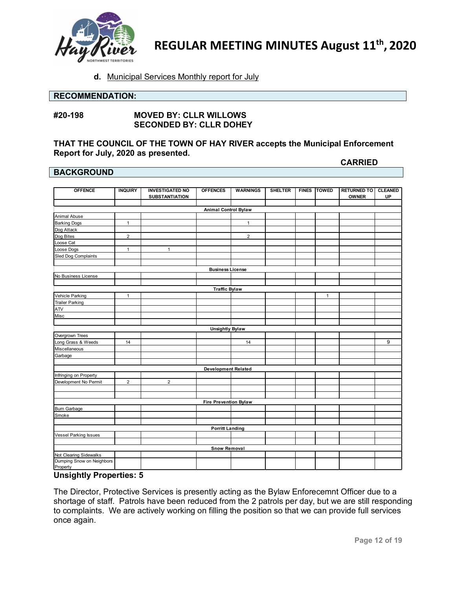

#### **d.** Municipal Services Monthly report for July

### **RECOMMENDATION:**

#### **#20-198 MOVED BY: CLLR WILLOWS SECONDED BY: CLLR DOHEY**

# **THAT THE COUNCIL OF THE TOWN OF HAY RIVER accepts the Municipal Enforcement Report for July, 2020 as presented.**

#### **BACKGROUND**

**OFFENCE INQUIRY INVESTIGATED NO SUBSTANTIATION OFFENCES WARNINGS SHELTER FINES TOWED RETURNED TO OWNER RETURNED TO | CLEANED UP** Animal Abuse Barking Dogs and The Mathematic Hotel and The Mathematic Hotel and The Mathematic Hotel And The Mathematic Hotel And The Mathematic Hotel And The Mathematic Hotel And The Mathematic Hotel And The Mathematic Hotel And The M Dog Attack Dog Bites 2 2 Loose Cat Loose Dogs 1 1 Sled Dog Complaints No Business License Vehicle Parking 1 1 Trailer Parking ATV Misc Overgrown Trees Long Grass & Weeds 14 14 9 Miscellaneous Garbage Infringing on Property Development No Permit 2 2 Burn Garbage Smoke Vessel Parking Issues Not Clearing Sidewalks Dumping Snow on Neighbors Property **Animal Control Bylaw Business License Traffic Bylaw Unsightly Bylaw Development Related Fire Prevention Bylaw Porritt Landing Snow Removal**

### **Unsightly Properties: 5**

The Director, Protective Services is presently acting as the Bylaw Enforecemnt Officer due to a shortage of staff. Patrols have been reduced from the 2 patrols per day, but we are still responding to complaints. We are actively working on filling the position so that we can provide full services once again.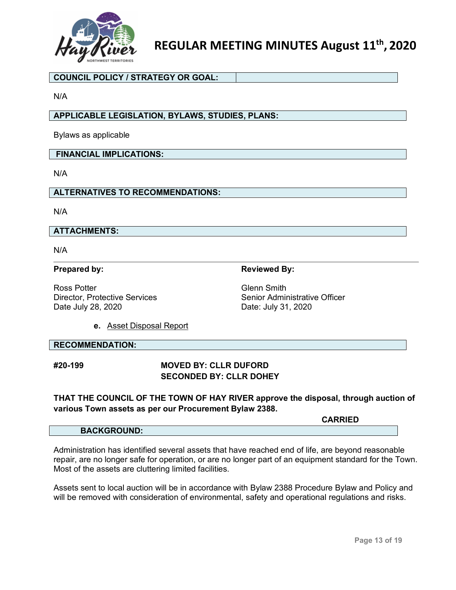

#### **COUNCIL POLICY / STRATEGY OR GOAL:**

N/A

# **APPLICABLE LEGISLATION, BYLAWS, STUDIES, PLANS:**

Bylaws as applicable

#### **FINANCIAL IMPLICATIONS:**

N/A

### **ALTERNATIVES TO RECOMMENDATIONS:**

N/A

## **ATTACHMENTS:**

N/A

#### **Prepared by: Reviewed By: Reviewed By:**

Ross Potter<br>Director. Protective Services<br>Contractive Services<br>Contractive Officer<br>Senior Administrative Officer Director, Protective Services

Date July 28, 2020 Date: July 31, 2020

**e.** Asset Disposal Report

#### **RECOMMENDATION:**

# **#20-199 MOVED BY: CLLR DUFORD SECONDED BY: CLLR DOHEY**

# **THAT THE COUNCIL OF THE TOWN OF HAY RIVER approve the disposal, through auction of various Town assets as per our Procurement Bylaw 2388.**

|                    | CARRIED |
|--------------------|---------|
| <b>BACKGROUND:</b> |         |

Administration has identified several assets that have reached end of life, are beyond reasonable repair, are no longer safe for operation, or are no longer part of an equipment standard for the Town. Most of the assets are cluttering limited facilities.

Assets sent to local auction will be in accordance with Bylaw 2388 Procedure Bylaw and Policy and will be removed with consideration of environmental, safety and operational regulations and risks.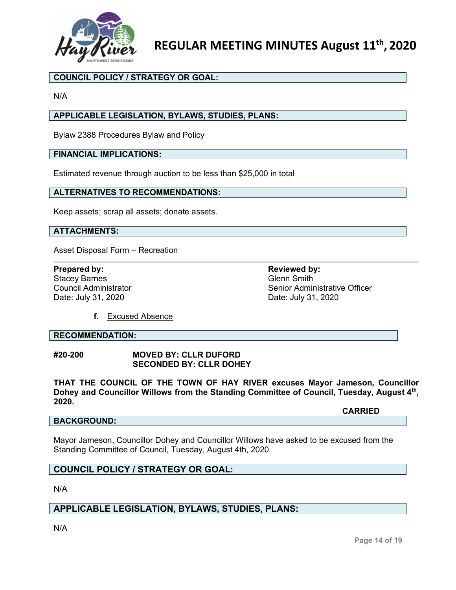

# **COUNCIL POLICY / STRATEGY OR GOAL:**

N/A

# **APPLICABLE LEGISLATION, BYLAWS, STUDIES, PLANS:**

Bylaw 2388 Procedures Bylaw and Policy

#### **FINANCIAL IMPLICATIONS:**

Estimated revenue through auction to be less than \$25,000 in total

#### **ALTERNATIVES TO RECOMMENDATIONS:**

Keep assets; scrap all assets; donate assets.

# **ATTACHMENTS:**

Asset Disposal Form – Recreation

**Prepared by: Reviewed by: Reviewed by: Reviewed by: Reviewed by: Reviewed by: Reviewed by: Reviewed by: Reviewed by: Reviewed by: Reviewed by: Reviewed by: Reviewed by: Reviewed by: Reviewed by** Stacey Barnes<br>Council Administrator Date: July 31, 2020 **Date: July 31, 2020** 

Senior Administrative Officer

**f.** Excused Absence

#### **RECOMMENDATION:**

#### **#20-200 MOVED BY: CLLR DUFORD SECONDED BY: CLLR DOHEY**

**THAT THE COUNCIL OF THE TOWN OF HAY RIVER excuses Mayor Jameson, Councillor Dohey and Councillor Willows from the Standing Committee of Council, Tuesday, August 4th, 2020.**

**CARRIED**

#### **BACKGROUND:**

Mayor Jameson, Councillor Dohey and Councillor Willows have asked to be excused from the Standing Committee of Council, Tuesday, August 4th, 2020

# **COUNCIL POLICY / STRATEGY OR GOAL:**

N/A

# **APPLICABLE LEGISLATION, BYLAWS, STUDIES, PLANS:**

N/A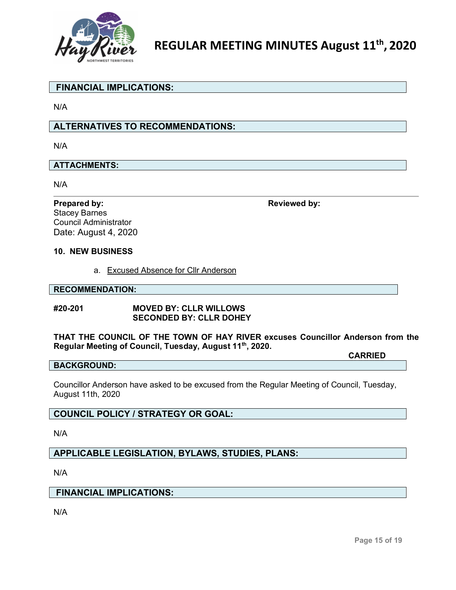

# **FINANCIAL IMPLICATIONS:**

N/A

# **ALTERNATIVES TO RECOMMENDATIONS:**

N/A

# **ATTACHMENTS:**

N/A

Stacey Barnes Council Administrator Date: August 4, 2020

**Prepared by: Reviewed** by:

#### **10. NEW BUSINESS**

a. Excused Absence for Cllr Anderson

#### **RECOMMENDATION:**

#### **#20-201 MOVED BY: CLLR WILLOWS SECONDED BY: CLLR DOHEY**

# **THAT THE COUNCIL OF THE TOWN OF HAY RIVER excuses Councillor Anderson from the Regular Meeting of Council, Tuesday, August 11th, 2020.**

#### **BACKGROUND:**

Councillor Anderson have asked to be excused from the Regular Meeting of Council, Tuesday, August 11th, 2020

# **COUNCIL POLICY / STRATEGY OR GOAL:**

N/A

**APPLICABLE LEGISLATION, BYLAWS, STUDIES, PLANS:**

N/A

#### **FINANCIAL IMPLICATIONS:**

N/A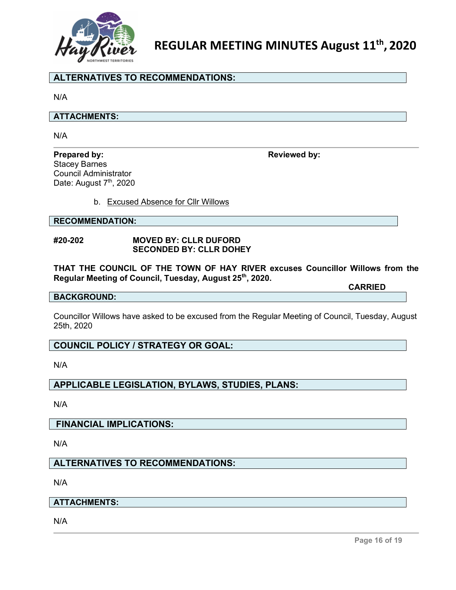

# **ALTERNATIVES TO RECOMMENDATIONS:**

N/A

#### **ATTACHMENTS:**

N/A

#### **Prepared by: Reviewed by:**

Stacey Barnes Council Administrator Date: August 7<sup>th</sup>, 2020

b. Excused Absence for Cllr Willows

#### **RECOMMENDATION:**

#### **#20-202 MOVED BY: CLLR DUFORD SECONDED BY: CLLR DOHEY**

**THAT THE COUNCIL OF THE TOWN OF HAY RIVER excuses Councillor Willows from the Regular Meeting of Council, Tuesday, August 25th, 2020.**

**CARRIED**

#### **BACKGROUND:**

Councillor Willows have asked to be excused from the Regular Meeting of Council, Tuesday, August 25th, 2020

# **COUNCIL POLICY / STRATEGY OR GOAL:**

N/A

# **APPLICABLE LEGISLATION, BYLAWS, STUDIES, PLANS:**

N/A

# **FINANCIAL IMPLICATIONS:**

N/A

# **ALTERNATIVES TO RECOMMENDATIONS:**

N/A

# **ATTACHMENTS:**

N/A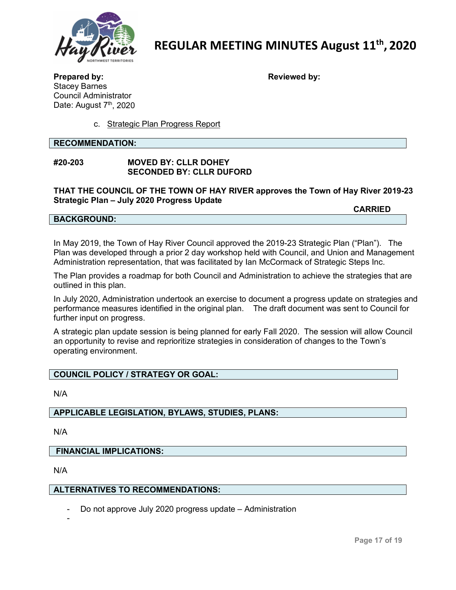

**Prepared by: Reviewed by:** Stacey Barnes Council Administrator

c. Strategic Plan Progress Report

**RECOMMENDATION:**

Date: August 7<sup>th</sup>, 2020

### **#20-203 MOVED BY: CLLR DOHEY SECONDED BY: CLLR DUFORD**

**THAT THE COUNCIL OF THE TOWN OF HAY RIVER approves the Town of Hay River 2019-23 Strategic Plan – July 2020 Progress Update**

**CARRIED**

#### **BACKGROUND:**

In May 2019, the Town of Hay River Council approved the 2019-23 Strategic Plan ("Plan"). The Plan was developed through a prior 2 day workshop held with Council, and Union and Management Administration representation, that was facilitated by Ian McCormack of Strategic Steps Inc.

The Plan provides a roadmap for both Council and Administration to achieve the strategies that are outlined in this plan.

In July 2020, Administration undertook an exercise to document a progress update on strategies and performance measures identified in the original plan. The draft document was sent to Council for further input on progress.

A strategic plan update session is being planned for early Fall 2020. The session will allow Council an opportunity to revise and reprioritize strategies in consideration of changes to the Town's operating environment.

# **COUNCIL POLICY / STRATEGY OR GOAL:**

N/A

# **APPLICABLE LEGISLATION, BYLAWS, STUDIES, PLANS:**

N/A

#### **FINANCIAL IMPLICATIONS:**

N/A

-

#### **ALTERNATIVES TO RECOMMENDATIONS:**

Do not approve July 2020 progress update – Administration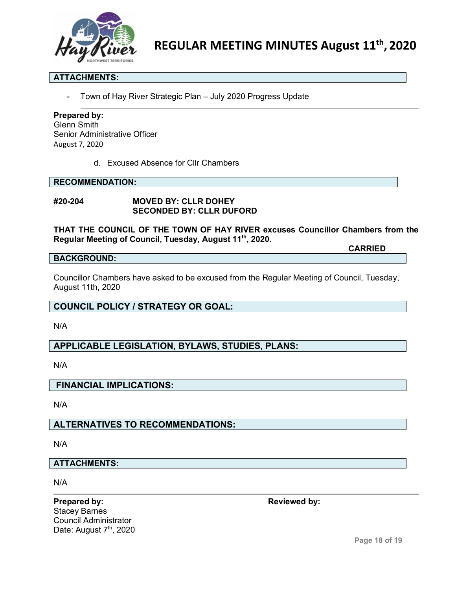

### **ATTACHMENTS:**

Town of Hay River Strategic Plan - July 2020 Progress Update

#### **Prepared by:**

Glenn Smith Senior Administrative Officer August 7, 2020

d. Excused Absence for Cllr Chambers

#### **RECOMMENDATION:**

**#20-204 MOVED BY: CLLR DOHEY SECONDED BY: CLLR DUFORD**

**THAT THE COUNCIL OF THE TOWN OF HAY RIVER excuses Councillor Chambers from the Regular Meeting of Council, Tuesday, August 11th, 2020.**

#### **BACKGROUND:**

Councillor Chambers have asked to be excused from the Regular Meeting of Council, Tuesday, August 11th, 2020

# **COUNCIL POLICY / STRATEGY OR GOAL:**

N/A

# **APPLICABLE LEGISLATION, BYLAWS, STUDIES, PLANS:**

N/A

#### **FINANCIAL IMPLICATIONS:**

N/A

# **ALTERNATIVES TO RECOMMENDATIONS:**

N/A

#### **ATTACHMENTS:**

N/A

**Prepared by: Reviewed** by: Stacey Barnes Council Administrator Date: August 7<sup>th</sup>, 2020